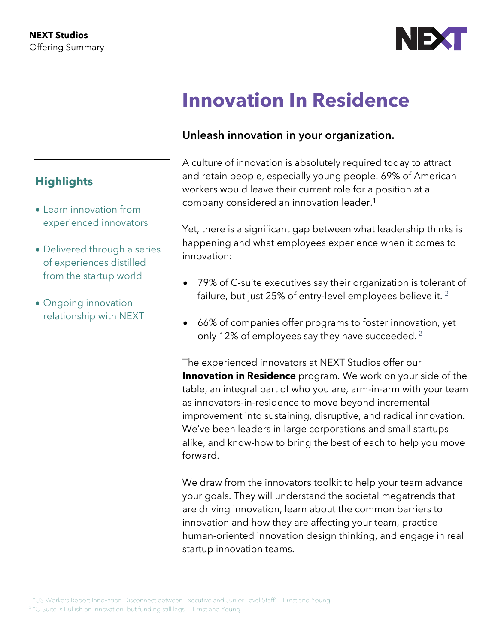

# **Innovation In Residence**

## **Unleash innovation in your organization.**

A culture of innovation is absolutely required today to attract and retain people, especially young people. 69% of American workers would leave their current role for a position at a company considered an innovation leader.1

Yet, there is a significant gap between what leadership thinks is happening and what employees experience when it comes to innovation:

- 79% of C-suite executives say their organization is tolerant of failure, but just 25% of entry-level employees believe it. <sup>2</sup>
- 66% of companies offer programs to foster innovation, yet only 12% of employees say they have succeeded.  $2^2$

The experienced innovators at NEXT Studios offer our **Innovation in Residence** program. We work on your side of the table, an integral part of who you are, arm-in-arm with your team as innovators-in-residence to move beyond incremental improvement into sustaining, disruptive, and radical innovation. We've been leaders in large corporations and small startups alike, and know-how to bring the best of each to help you move forward.

We draw from the innovators toolkit to help your team advance your goals. They will understand the societal megatrends that are driving innovation, learn about the common barriers to innovation and how they are affecting your team, practice human-oriented innovation design thinking, and engage in real startup innovation teams.

# **Highlights**

- Learn innovation from experienced innovators
- Delivered through a series of experiences distilled from the startup world
- Ongoing innovation relationship with NEXT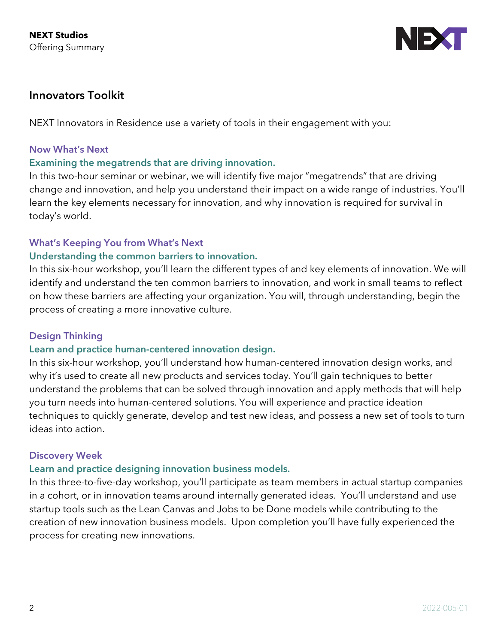

### **Innovators Toolkit**

NEXT Innovators in Residence use a variety of tools in their engagement with you:

#### **Now What's Next**

#### **Examining the megatrends that are driving innovation.**

In this two-hour seminar or webinar, we will identify five major "megatrends" that are driving change and innovation, and help you understand their impact on a wide range of industries. You'll learn the key elements necessary for innovation, and why innovation is required for survival in today's world.

#### **What's Keeping You from What's Next**

#### **Understanding the common barriers to innovation.**

In this six-hour workshop, you'll learn the different types of and key elements of innovation. We will identify and understand the ten common barriers to innovation, and work in small teams to reflect on how these barriers are affecting your organization. You will, through understanding, begin the process of creating a more innovative culture.

#### **Design Thinking**

#### **Learn and practice human-centered innovation design.**

In this six-hour workshop, you'll understand how human-centered innovation design works, and why it's used to create all new products and services today. You'll gain techniques to better understand the problems that can be solved through innovation and apply methods that will help you turn needs into human-centered solutions. You will experience and practice ideation techniques to quickly generate, develop and test new ideas, and possess a new set of tools to turn ideas into action.

#### **Discovery Week**

#### **Learn and practice designing innovation business models.**

In this three-to-five-day workshop, you'll participate as team members in actual startup companies in a cohort, or in innovation teams around internally generated ideas. You'll understand and use startup tools such as the Lean Canvas and Jobs to be Done models while contributing to the creation of new innovation business models. Upon completion you'll have fully experienced the process for creating new innovations.